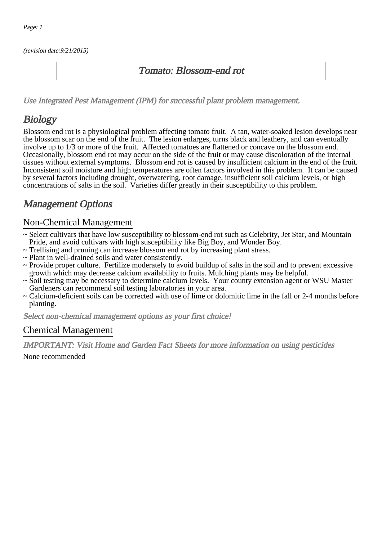(revision date:9/21/2015)

### Tomato: Blossom-end rot

[Use Integrated Pest Management \(IPM\) for successful plant problem management.](http://pep.wsu.edu/Home_Garden/H_G_Pesticide_info/urban_Integrated_Pest_Managmen/)

## **Biology**

Blossom end rot is a physiological problem affecting tomato fruit. A tan, water-soaked lesion develops near the blossom scar on the end of the fruit. The lesion enlarges, turns black and leathery, and can eventually involve up to 1/3 or more of the fruit. Affected tomatoes are flattened or concave on the blossom end. Occasionally, blossom end rot may occur on the side of the fruit or may cause discoloration of the internal tissues without external symptoms. Blossom end rot is caused by insufficient calcium in the end of the fruit. Inconsistent soil moisture and high temperatures are often factors involved in this problem. It can be caused by several factors including drought, overwatering, root damage, insufficient soil calcium levels, or high concentrations of salts in the soil. Varieties differ greatly in their susceptibility to this problem.

## Management Options

#### Non-Chemical Management

- ~ Select cultivars that have low susceptibility to blossom-end rot such as Celebrity, Jet Star, and Mountain Pride, and avoid cultivars with high susceptibility like Big Boy, and Wonder Boy.
- ~ Trellising and pruning can increase blossom end rot by increasing plant stress.
- ~ Plant in well-drained soils and water consistently.
- ~ Provide proper culture. Fertilize moderately to avoid buildup of salts in the soil and to prevent excessive growth which may decrease calcium availability to fruits. Mulching plants may be helpful.
- ~ Soil testing may be necessary to determine calcium levels. Your county extension agent or WSU Master Gardeners can recommend soil testing laboratories in your area.
- ~ Calcium-deficient soils can be corrected with use of lime or dolomitic lime in the fall or 2-4 months before planting.

Select non-chemical management options as your first choice!

#### Chemical Management

IMPORTANT: [Visit Home and Garden Fact Sheets for more information on using pesticides](http://pep.wsu.edu/Home_Garden/H_G_Pesticide_info/)

None recommended